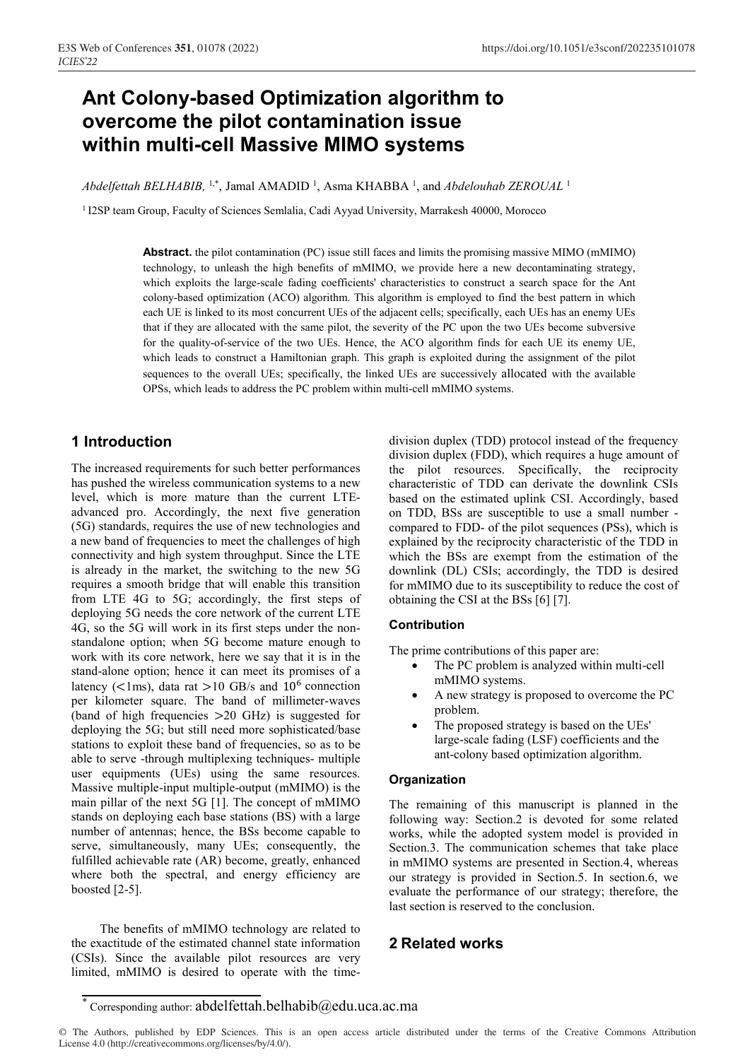# **Ant Colony-based Optimization algorithm to overcome the pilot contamination issue within multi-cell Massive MIMO systems**

Abdelfettah BELHABIB, <sup>1,\*</sup>, Jamal AMADID<sup>1</sup>, Asma KHABBA<sup>1</sup>, and Abdelouhab ZEROUAL<sup>1</sup>

<sup>1</sup> I2SP team Group, Faculty of Sciences Semlalia, Cadi Ayyad University, Marrakesh 40000, Morocco

**Abstract.** the pilot contamination (PC) issue still faces and limits the promising massive MIMO (mMIMO) technology, to unleash the high benefits of mMIMO, we provide here a new decontaminating strategy, which exploits the large-scale fading coefficients' characteristics to construct a search space for the Ant colony-based optimization (ACO) algorithm. This algorithm is employed to find the best pattern in which each UE is linked to its most concurrent UEs of the adjacent cells; specifically, each UEs has an enemy UEs that if they are allocated with the same pilot, the severity of the PC upon the two UEs become subversive for the quality-of-service of the two UEs. Hence, the ACO algorithm finds for each UE its enemy UE, which leads to construct a Hamiltonian graph. This graph is exploited during the assignment of the pilot sequences to the overall UEs; specifically, the linked UEs are successively allocated with the available OPSs, which leads to address the PC problem within multi-cell mMIMO systems.

## **1 Introduction**

The increased requirements for such better performances has pushed the wireless communication systems to a new level, which is more mature than the current LTEadvanced pro. Accordingly, the next five generation (5G) standards, requires the use of new technologies and a new band of frequencies to meet the challenges of high connectivity and high system throughput. Since the LTE is already in the market, the switching to the new 5G requires a smooth bridge that will enable this transition from LTE 4G to 5G; accordingly, the first steps of deploying 5G needs the core network of the current LTE 4G, so the 5G will work in its first steps under the nonstandalone option; when 5G become mature enough to work with its core network, here we say that it is in the stand-alone option; hence it can meet its promises of a latency ( $\lt$ 1ms), data rat  $>$ 10 GB/s and 10<sup>6</sup> connection per kilometer square. The band of millimeter-waves (band of high frequencies >20 GHz) is suggested for deploying the 5G; but still need more sophisticated/base stations to exploit these band of frequencies, so as to be able to serve -through multiplexing techniques- multiple user equipments (UEs) using the same resources. Massive multiple-input multiple-output (mMIMO) is the main pillar of the next 5G [1]. The concept of mMIMO stands on deploying each base stations (BS) with a large number of antennas; hence, the BSs become capable to serve, simultaneously, many UEs; consequently, the fulfilled achievable rate (AR) become, greatly, enhanced where both the spectral, and energy efficiency are boosted [2-5].

The benefits of mMIMO technology are related to the exactitude of the estimated channel state information (CSIs). Since the available pilot resources are very limited, mMIMO is desired to operate with the time-

division duplex (TDD) protocol instead of the frequency division duplex (FDD), which requires a huge amount of the pilot resources. Specifically, the reciprocity characteristic of TDD can derivate the downlink CSIs based on the estimated uplink CSI. Accordingly, based on TDD, BSs are susceptible to use a small number compared to FDD- of the pilot sequences (PSs), which is explained by the reciprocity characteristic of the TDD in which the BSs are exempt from the estimation of the downlink (DL) CSIs; accordingly, the TDD is desired for mMIMO due to its susceptibility to reduce the cost of obtaining the CSI at the BSs [6] [7].

#### **Contribution**

The prime contributions of this paper are:

- The PC problem is analyzed within multi-cell mMIMO systems.
- A new strategy is proposed to overcome the PC problem.
- The proposed strategy is based on the UEs' large-scale fading (LSF) coefficients and the ant-colony based optimization algorithm.

#### **Organization**

The remaining of this manuscript is planned in the following way: Section.2 is devoted for some related works, while the adopted system model is provided in Section.3. The communication schemes that take place in mMIMO systems are presented in Section.4, whereas our strategy is provided in Section.5. In section.6, we evaluate the performance of our strategy; therefore, the last section is reserved to the conclusion.

## **2 Related works**

<sup>\*</sup> Corresponding author: abdelfettah.belhabib@edu.uca.ac.ma

<sup>©</sup> The Authors, published by EDP Sciences. This is an open access article distributed under the terms of the Creative Commons Attribution License 4.0 (http://creativecommons.org/licenses/by/4.0/).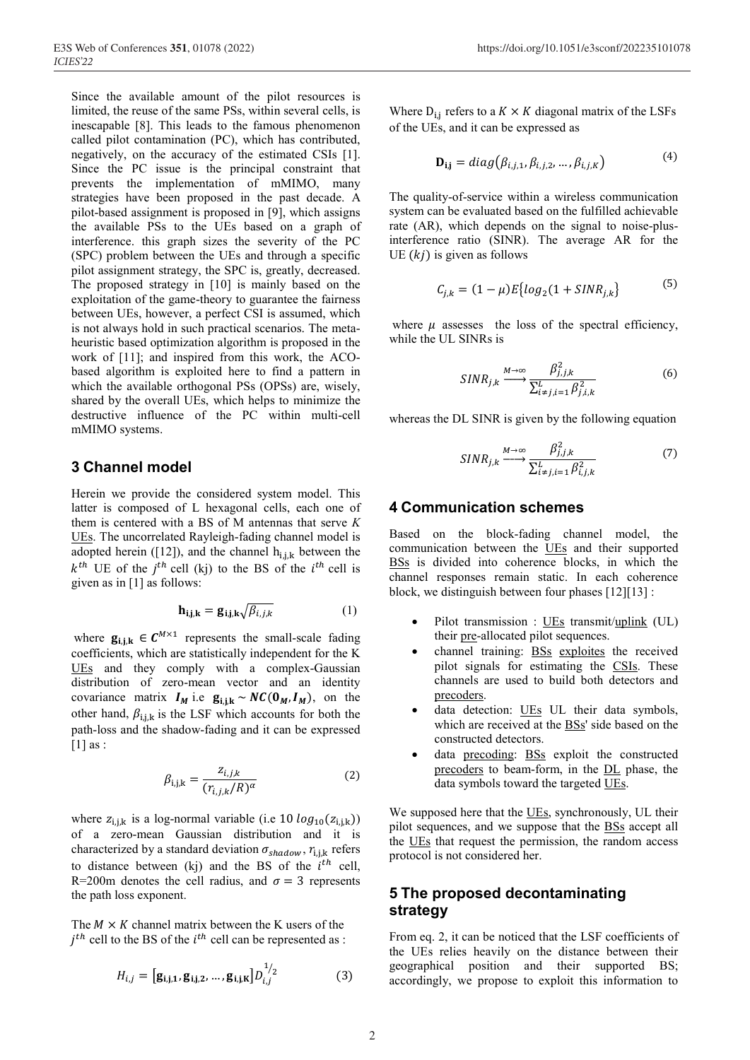Since the available amount of the pilot resources is limited, the reuse of the same PSs, within several cells, is inescapable [8]. This leads to the famous phenomenon called pilot contamination (PC), which has contributed, negatively, on the accuracy of the estimated CSIs [1]. Since the PC issue is the principal constraint that prevents the implementation of mMIMO, many strategies have been proposed in the past decade. A pilot-based assignment is proposed in [9], which assigns the available PSs to the UEs based on a graph of interference. this graph sizes the severity of the PC (SPC) problem between the UEs and through a specific pilot assignment strategy, the SPC is, greatly, decreased. The proposed strategy in [10] is mainly based on the exploitation of the game-theory to guarantee the fairness between UEs, however, a perfect CSI is assumed, which is not always hold in such practical scenarios. The metaheuristic based optimization algorithm is proposed in the work of [11]; and inspired from this work, the ACObased algorithm is exploited here to find a pattern in which the available orthogonal PSs (OPSs) are, wisely, shared by the overall UEs, which helps to minimize the destructive influence of the PC within multi-cell mMIMO systems.

## **3 Channel model**

Herein we provide the considered system model. This latter is composed of L hexagonal cells, each one of them is centered with a BS of M antennas that serve *K* UEs. The uncorrelated Rayleigh-fading channel model is adopted herein ([12]), and the channel  $h_{i,j,k}$  between the  $k^{th}$  UE of the  $j^{th}$  cell (kj) to the BS of the  $i^{th}$  cell is given as in [1] as follows:

$$
\mathbf{h}_{i,j,k} = \mathbf{g}_{i,j,k} \sqrt{\beta_{i,j,k}} \tag{1}
$$

where  $\mathbf{g}_{i,i,k} \in \mathbf{C}^{M \times 1}$  represents the small-scale fading coefficients, which are statistically independent for the K UEs and they comply with a complex-Gaussian distribution of zero-mean vector and an identity covariance matrix  $I_M$  i.e  $g_{i,j,k} \sim NC(\mathbf{0}_M, I_M)$ , on the other hand,  $\beta_{i,j,k}$  is the LSF which accounts for both the path-loss and the shadow-fading and it can be expressed  $[1]$  as :

$$
\beta_{i,j,k} = \frac{z_{i,j,k}}{(r_{i,j,k}/R)^\alpha} \tag{2}
$$

where  $z_{i,j,k}$  is a log-normal variable (i.e 10  $log_{10}(z_{i,j,k})$ ) of a zero-mean Gaussian distribution and it is characterized by a standard deviation  $\sigma_{shadow}$ ,  $r_{i,j,k}$  refers to distance between (kj) and the BS of the  $i<sup>th</sup>$  cell, R=200m denotes the cell radius, and  $\sigma = 3$  represents the path loss exponent.

The  $M \times K$  channel matrix between the K users of the  $j^{th}$  cell to the BS of the  $i^{th}$  cell can be represented as :

$$
H_{i,j} = [\mathbf{g}_{i,j,1}, \mathbf{g}_{i,j,2}, \dots, \mathbf{g}_{i,j,K}] D_{i,j}^{1/2}
$$
 (3)

Where  $D_{i,j}$  refers to a  $K \times K$  diagonal matrix of the LSFs of the UEs, and it can be expressed as

$$
\mathbf{D}_{i,j} = diag(\beta_{i,j,1}, \beta_{i,j,2}, \dots, \beta_{i,j,K})
$$
(4)

The quality-of-service within a wireless communication system can be evaluated based on the fulfilled achievable rate (AR), which depends on the signal to noise-plusinterference ratio (SINR). The average AR for the UE  $(kj)$  is given as follows

$$
C_{j,k} = (1 - \mu)E\{log_2(1 + SINR_{j,k})\}\tag{5}
$$

where  $\mu$  assesses the loss of the spectral efficiency, while the UL SINRs is

$$
SINR_{j,k} \xrightarrow{M \to \infty} \frac{\beta_{j,j,k}^2}{\sum_{i \neq j,i=1}^L \beta_{j,i,k}^2}
$$
 (6)

whereas the DL SINR is given by the following equation

$$
SINR_{j,k} \xrightarrow{M \to \infty} \frac{\beta_{j,j,k}^2}{\sum_{i \neq j,i=1}^L \beta_{i,j,k}^2}
$$
 (7)

#### **4 Communication schemes**

Based on the block-fading channel model, the communication between the UEs and their supported BSs is divided into coherence blocks, in which the channel responses remain static. In each coherence block, we distinguish between four phases [12][13] :

- Pilot transmission : UEs transmit/uplink (UL) their pre-allocated pilot sequences.
- channel training: **BSs** exploites the received pilot signals for estimating the CSIs. These channels are used to build both detectors and precoders.
- data detection: UEs UL their data symbols. which are received at the BSs' side based on the constructed detectors.
- data precoding: BSs exploit the constructed precoders to beam-form, in the DL phase, the data symbols toward the targeted UEs.

We supposed here that the UEs, synchronously, UL their pilot sequences, and we suppose that the BSs accept all the UEs that request the permission, the random access protocol is not considered her.

## **5 The proposed decontaminating strategy**

From eq. 2, it can be noticed that the LSF coefficients of the UEs relies heavily on the distance between their geographical position and their supported BS; accordingly, we propose to exploit this information to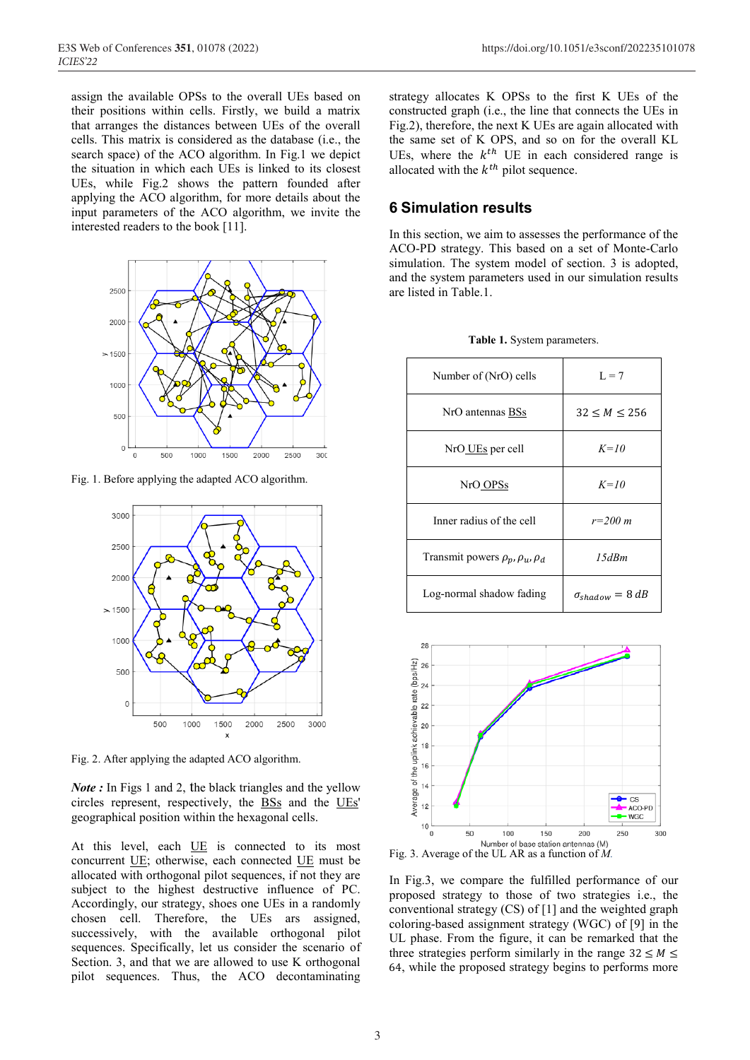assign the available OPSs to the overall UEs based on their positions within cells. Firstly, we build a matrix that arranges the distances between UEs of the overall cells. This matrix is considered as the database (i.e., the search space) of the ACO algorithm. In Fig.1 we depict the situation in which each UEs is linked to its closest UEs, while Fig.2 shows the pattern founded after applying the ACO algorithm, for more details about the input parameters of the ACO algorithm, we invite the interested readers to the book [11].



Fig. 1. Before applying the adapted ACO algorithm.



Fig. 2. After applying the adapted ACO algorithm.

*Note* : In Figs 1 and 2, the black triangles and the yellow circles represent, respectively, the BSs and the UEs' geographical position within the hexagonal cells.

At this level, each UE is connected to its most concurrent UE; otherwise, each connected UE must be allocated with orthogonal pilot sequences, if not they are subject to the highest destructive influence of PC. Accordingly, our strategy, shoes one UEs in a randomly chosen cell. Therefore, the UEs ars assigned, successively, with the available orthogonal pilot sequences. Specifically, let us consider the scenario of Section. 3, and that we are allowed to use K orthogonal pilot sequences. Thus, the ACO decontaminating strategy allocates K OPSs to the first K UEs of the constructed graph (i.e., the line that connects the UEs in Fig.2), therefore, the next K UEs are again allocated with the same set of K OPS, and so on for the overall KL UEs, where the  $k^{th}$  UE in each considered range is allocated with the  $k^{th}$  pilot sequence.

## **6 Simulation results**

In this section, we aim to assesses the performance of the ACO-PD strategy. This based on a set of Monte-Carlo simulation. The system model of section. 3 is adopted, and the system parameters used in our simulation results are listed in Table.1.

| Number of (NrO) cells    | $L = 7$      |
|--------------------------|--------------|
| NrO antennas BSs         | 32 < M < 256 |
| NrO UEs per cell         | $K=10$       |
| NrO OPSs                 | $K=10$       |
| Inner radius of the cell | $r = 200$ m  |

Transmit powers  $\rho_p$ ,  $\rho_u$ ,  $\rho_d$  | 15dBm

Log-normal shadow fading  $\sigma_{shadow} = 8 dB$ 

**Table 1.** System parameters.



Number of base station antennas (M)<br>Fig. 3. Average of the UL AR as a function of *M*.

In Fig.3, we compare the fulfilled performance of our proposed strategy to those of two strategies i.e., the conventional strategy (CS) of [1] and the weighted graph coloring-based assignment strategy (WGC) of [9] in the UL phase. From the figure, it can be remarked that the three strategies perform similarly in the range  $32 \leq M \leq$ 64, while the proposed strategy begins to performs more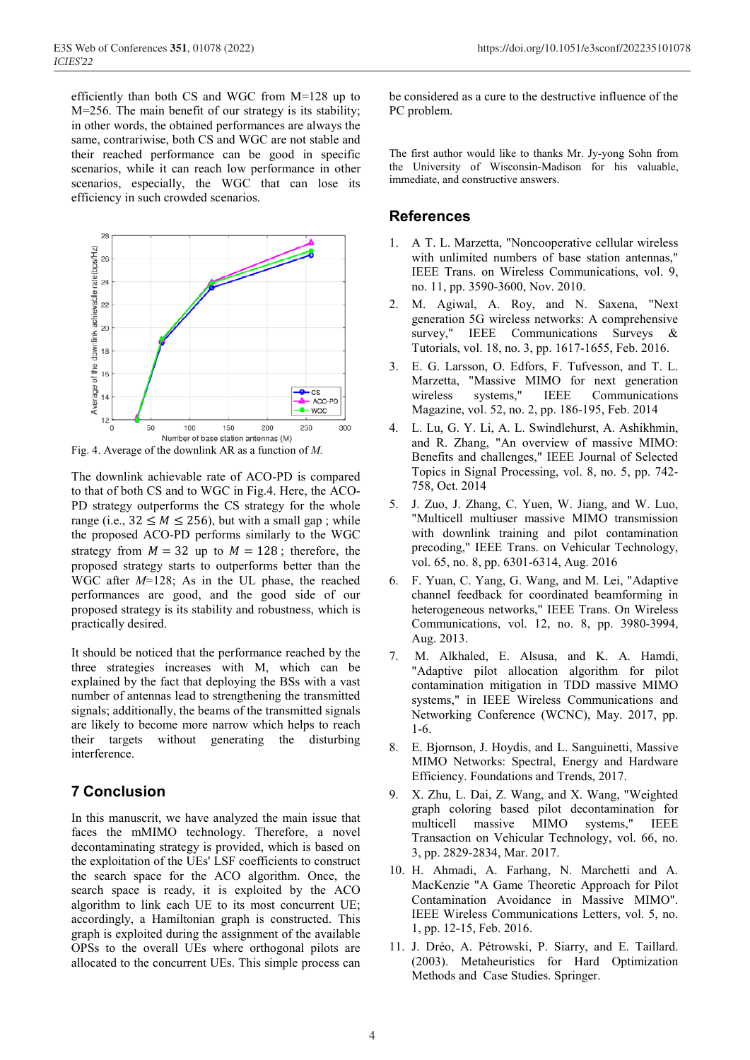efficiently than both CS and WGC from M=128 up to M=256. The main benefit of our strategy is its stability; in other words, the obtained performances are always the same, contrariwise, both CS and WGC are not stable and their reached performance can be good in specific scenarios, while it can reach low performance in other scenarios, especially, the WGC that can lose its efficiency in such crowded scenarios.



Fig. 4. Average of the downlink AR as a function of *M.*

The downlink achievable rate of ACO-PD is compared to that of both CS and to WGC in Fig.4. Here, the ACO-PD strategy outperforms the CS strategy for the whole range (i.e.,  $32 \leq M \leq 256$ ), but with a small gap; while the proposed ACO-PD performs similarly to the WGC strategy from  $M = 32$  up to  $M = 128$ ; therefore, the proposed strategy starts to outperforms better than the WGC after *M*=128; As in the UL phase, the reached performances are good, and the good side of our proposed strategy is its stability and robustness, which is practically desired.

It should be noticed that the performance reached by the three strategies increases with M, which can be explained by the fact that deploying the BSs with a vast number of antennas lead to strengthening the transmitted signals; additionally, the beams of the transmitted signals are likely to become more narrow which helps to reach their targets without generating the disturbing interference.

# **7 Conclusion**

In this manuscrit, we have analyzed the main issue that faces the mMIMO technology. Therefore, a novel decontaminating strategy is provided, which is based on the exploitation of the UEs' LSF coefficients to construct the search space for the ACO algorithm. Once, the search space is ready, it is exploited by the ACO algorithm to link each UE to its most concurrent UE; accordingly, a Hamiltonian graph is constructed. This graph is exploited during the assignment of the available OPSs to the overall UEs where orthogonal pilots are allocated to the concurrent UEs. This simple process can be considered as a cure to the destructive influence of the PC problem.

The first author would like to thanks Mr. Jy-yong Sohn from the University of Wisconsin-Madison for his valuable, immediate, and constructive answers.

### **References**

- 1. A T. L. Marzetta, "Noncooperative cellular wireless with unlimited numbers of base station antennas," IEEE Trans. on Wireless Communications, vol. 9, no. 11, pp. 3590-3600, Nov. 2010.
- 2. M. Agiwal, A. Roy, and N. Saxena, "Next generation 5G wireless networks: A comprehensive survey," IEEE Communications Surveys & Tutorials, vol. 18, no. 3, pp. 1617-1655, Feb. 2016.
- 3. E. G. Larsson, O. Edfors, F. Tufvesson, and T. L. Marzetta, "Massive MIMO for next generation<br>wireless systems," IEEE Communications wireless systems," IEEE Communications Magazine, vol. 52, no. 2, pp. 186-195, Feb. 2014
- 4. L. Lu, G. Y. Li, A. L. Swindlehurst, A. Ashikhmin, and R. Zhang, "An overview of massive MIMO: Benefits and challenges," IEEE Journal of Selected Topics in Signal Processing, vol. 8, no. 5, pp. 742- 758, Oct. 2014
- 5. J. Zuo, J. Zhang, C. Yuen, W. Jiang, and W. Luo, "Multicell multiuser massive MIMO transmission with downlink training and pilot contamination precoding," IEEE Trans. on Vehicular Technology, vol. 65, no. 8, pp. 6301-6314, Aug. 2016
- 6. F. Yuan, C. Yang, G. Wang, and M. Lei, "Adaptive channel feedback for coordinated beamforming in heterogeneous networks," IEEE Trans. On Wireless Communications, vol. 12, no. 8, pp. 3980-3994, Aug. 2013.
- 7. M. Alkhaled, E. Alsusa, and K. A. Hamdi, "Adaptive pilot allocation algorithm for pilot contamination mitigation in TDD massive MIMO systems," in IEEE Wireless Communications and Networking Conference (WCNC), May. 2017, pp. 1-6.
- 8. E. Bjornson, J. Hoydis, and L. Sanguinetti, Massive MIMO Networks: Spectral, Energy and Hardware Efficiency. Foundations and Trends, 2017.
- 9. X. Zhu, L. Dai, Z. Wang, and X. Wang, "Weighted graph coloring based pilot decontamination for multicell massive MIMO systems," IEEE Transaction on Vehicular Technology, vol. 66, no. 3, pp. 2829-2834, Mar. 2017.
- 10. H. Ahmadi, A. Farhang, N. Marchetti and A. MacKenzie "A Game Theoretic Approach for Pilot Contamination Avoidance in Massive MIMO". IEEE Wireless Communications Letters, vol. 5, no. 1, pp. 12-15, Feb. 2016.
- 11. J. Dréo, A. Pétrowski, P. Siarry, and E. Taillard. (2003). Metaheuristics for Hard Optimization Methods and Case Studies. Springer.